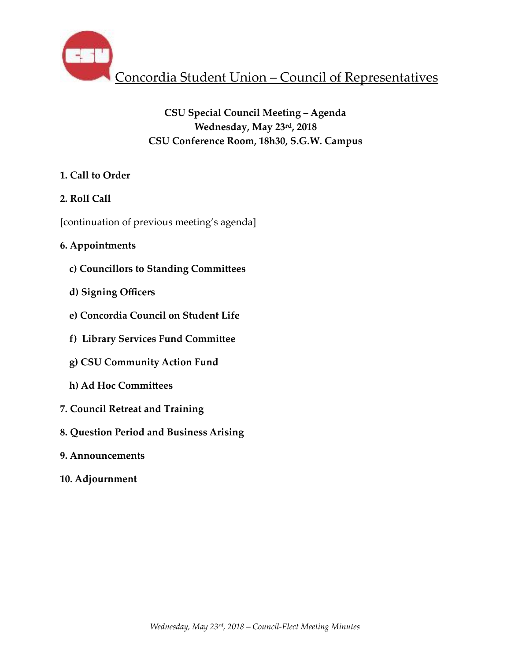

# **CSU Special Council Meeting – Agenda Wednesday, May 23rd, 2018 CSU Conference Room, 18h30, S.G.W. Campus**

# **1. Call to Order**

# **2. Roll Call**

[continuation of previous meeting's agenda]

# **6. Appointments**

- **c) Councillors to Standing CommiHees**
- **d) Signing Officers**
- **e) Concordia Council on Student Life**
- **f) Library Services Fund CommiHee**
- **g) CSU Community Action Fund**
- **h) Ad Hoc CommiHees**
- **7. Council Retreat and Training**
- **8. Question Period and Business Arising**
- **9. Announcements**
- **10. Adjournment**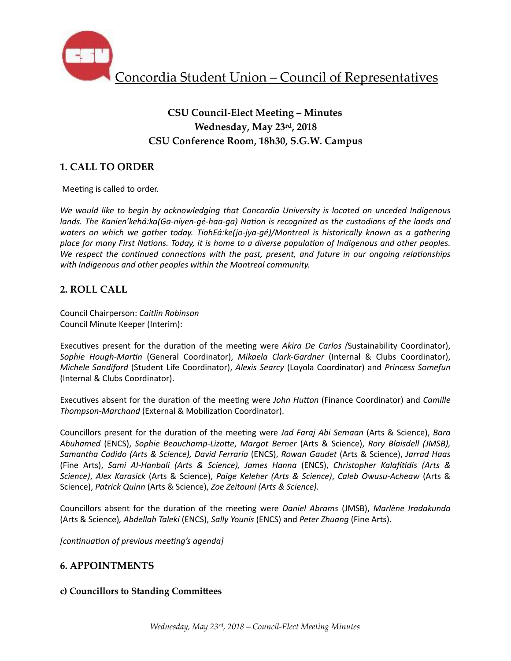

# **CSU Council-Elect Meeting – Minutes Wednesday, May 23rd, 2018 CSU Conference Room, 18h30, S.G.W. Campus**

# **1. CALL TO ORDER**

Meeting is called to order.

We would like to begin by acknowledging that Concordia University is located on unceded Indigenous *lands.* The Kanien'kehá:ka(Ga-niyen-qé-haa-ga) Nation is recognized as the custodians of the lands and *waters* on which we gather today. TiohEá:ke(jo-jya-gé)/Montreal is historically known as a gathering place for many First Nations. Today, it is home to a diverse population of Indigenous and other peoples. *We respect the continued connections with the past, present, and future in our ongoing relationships* with Indigenous and other peoples within the Montreal community.

## **2. ROLL CALL**

Council Chairperson: *Caitlin Robinson* Council Minute Keeper (Interim):

Executives present for the duration of the meeting were *Akira De Carlos (Sustainability Coordinator)*, Sophie Hough-Martin (General Coordinator), Mikaela Clark-Gardner (Internal & Clubs Coordinator), *Michele Sandiford* (Student Life Coordinator), *Alexis Searcy* (Loyola Coordinator) and *Princess Somefun* (Internal & Clubs Coordinator).

Executives absent for the duration of the meeting were *John Hutton* (Finance Coordinator) and *Camille Thompson-Marchand* (External & Mobilization Coordinator).

Councillors present for the duration of the meeting were *Jad Faraj Abi Semaan* (Arts & Science), *Bara Abuhamed* (ENCS), *Sophie Beauchamp-Lizotte, Margot Berner* (Arts & Science), *Rory Blaisdell (JMSB)*, *Samantha Cadido (Arts & Science), David Ferraria* (ENCS), *Rowan Gaudet* (Arts & Science), *Jarrad Haas*  (Fine Arts), *Sami Al-Hanbali (Arts & Science), James Hanna*  (ENCS), *Christopher KalafiEdis (Arts & Science)*, *Alex Karasick* (Arts & Science), *Paige Keleher (Arts & Science)*, *Caleb Owusu-Acheaw* (Arts & Science), Patrick Quinn (Arts & Science), Zoe Zeitouni (Arts & Science).

Councillors absent for the duration of the meeting were *Daniel Abrams* (JMSB), *Marlène Iradakunda* (Arts & Science)*, Abdellah Taleki* (ENCS), *Sally Younis* (ENCS) and *Peter Zhuang* (Fine Arts). 

*[continuation of previous meeting's agenda]* 

## **6. APPOINTMENTS**

## **c) Councillors to Standing CommiHees**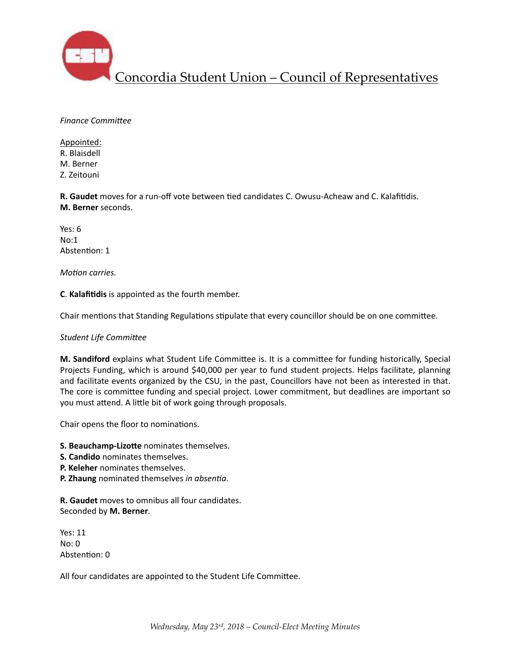

**Finance Committee** 

Appointed: R. Blaisdell M. Berner Z. Zeitouni 

**R. Gaudet** moves for a run-off vote between tied candidates C. Owusu-Acheaw and C. Kalafitidis. **M. Berner** seconds. 

Yes: 6 No:1 Abstention: 1

*Motion carries.* 

**C.** Kalafitidis is appointed as the fourth member.

Chair mentions that Standing Regulations stipulate that every councillor should be on one committee.

### **Student Life Committee**

M. Sandiford explains what Student Life Committee is. It is a committee for funding historically, Special Projects Funding, which is around \$40,000 per year to fund student projects. Helps facilitate, planning and facilitate events organized by the CSU, in the past, Councillors have not been as interested in that. The core is committee funding and special project. Lower commitment, but deadlines are important so you must attend. A little bit of work going through proposals.

Chair opens the floor to nominations.

**S. Beauchamp-Lizotte** nominates themselves.

- **S. Candido** nominates themselves.
- **P. Keleher** nominates themselves.
- **P. Zhaung** nominated themselves *in absentia*.

**R. Gaudet** moves to omnibus all four candidates. Seconded by M. Berner.

Yes: 11  $N<sub>0</sub>: 0$ Abstention: 0

All four candidates are appointed to the Student Life Committee.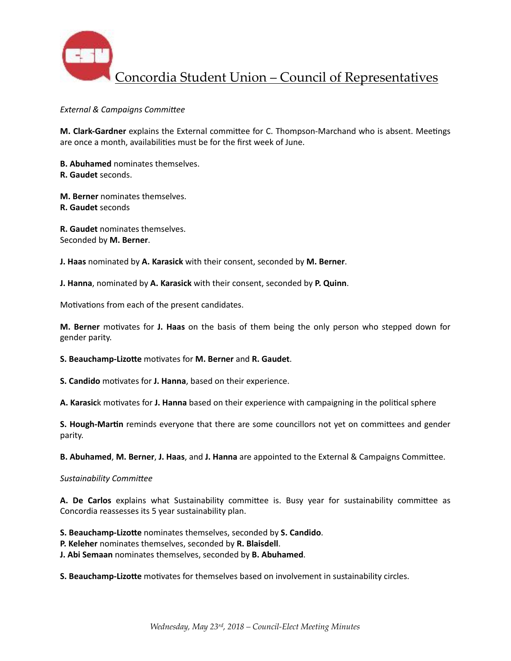

**External & Campaigns Committee** 

**M. Clark-Gardner** explains the External committee for C. Thompson-Marchand who is absent. Meetings are once a month, availabilities must be for the first week of June.

**B. Abuhamed** nominates themselves. **R. Gaudet** seconds. 

**M. Berner** nominates themselves. **R. Gaudet** seconds 

**R. Gaudet** nominates themselves. Seconded by **M. Berner**.

**J. Haas** nominated by A. Karasick with their consent, seconded by M. Berner.

**J. Hanna**, nominated by A. Karasick with their consent, seconded by P. Quinn.

Motivations from each of the present candidates.

**M.** Berner motivates for J. Haas on the basis of them being the only person who stepped down for gender parity.

#### **S. Beauchamp-Lizotte** motivates for M. Berner and R. Gaudet.

**S. Candido** motivates for **J. Hanna**, based on their experience.

**A. Karasic**k motivates for **J. Hanna** based on their experience with campaigning in the political sphere

**S. Hough-Martin** reminds everyone that there are some councillors not yet on committees and gender parity. 

**B. Abuhamed, M. Berner, J. Haas, and J. Hanna** are appointed to the External & Campaigns Committee.

#### **Sustainability Committee**

A. De Carlos explains what Sustainability committee is. Busy year for sustainability committee as Concordia reassesses its 5 year sustainability plan.

**S. Beauchamp-Lizotte** nominates themselves, seconded by S. Candido.

**P. Keleher** nominates themselves, seconded by **R. Blaisdell**.

**J. Abi Semaan** nominates themselves, seconded by **B. Abuhamed**.

**S. Beauchamp-Lizotte** motivates for themselves based on involvement in sustainability circles.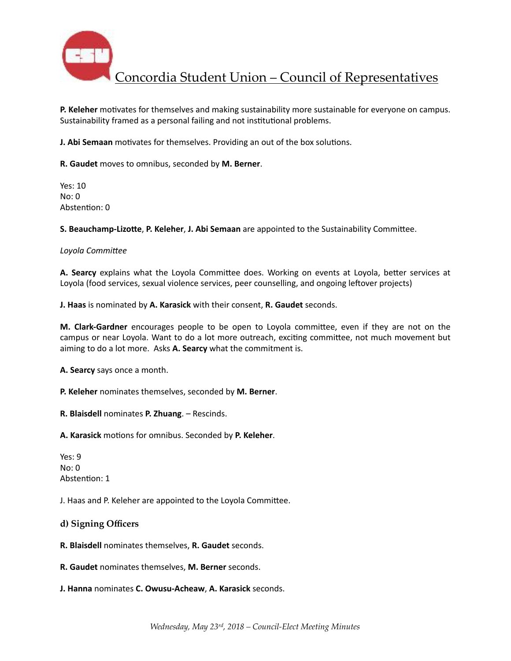

**P. Keleher** motivates for themselves and making sustainability more sustainable for everyone on campus. Sustainability framed as a personal failing and not institutional problems.

**J. Abi Semaan** motivates for themselves. Providing an out of the box solutions.

**R. Gaudet** moves to omnibus, seconded by **M. Berner**. 

Yes:  $10$  $No: 0$ Abstention: 0

**S. Beauchamp-Lizotte, P. Keleher, J. Abi Semaan** are appointed to the Sustainability Committee.

#### Loyola Committee

**A. Searcy** explains what the Loyola Committee does. Working on events at Loyola, better services at Loyola (food services, sexual violence services, peer counselling, and ongoing leftover projects)

**J. Haas** is nominated by A. Karasick with their consent, R. Gaudet seconds.

**M. Clark-Gardner** encourages people to be open to Loyola committee, even if they are not on the campus or near Loyola. Want to do a lot more outreach, exciting committee, not much movement but aiming to do a lot more. Asks A. Searcy what the commitment is.

**A.** Searcy says once a month.

**P. Keleher** nominates themselves, seconded by **M. Berner**.

**R. Blaisdell** nominates **P. Zhuang**. – Rescinds.

A. Karasick motions for omnibus. Seconded by P. Keleher.

Yes: 9  $No: 0$ Abstention: 1

J. Haas and P. Keleher are appointed to the Loyola Committee.

**d) Signing Officers** 

**R. Blaisdell** nominates themselves, **R. Gaudet** seconds.

**R. Gaudet** nominates themselves, M. Berner seconds.

**J. Hanna** nominates **C. Owusu-Acheaw, A. Karasick** seconds.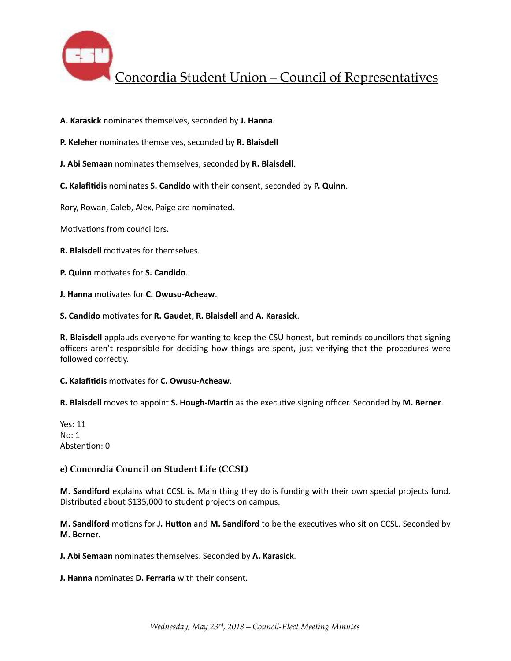

A. Karasick nominates themselves, seconded by J. Hanna.

**P. Keleher** nominates themselves, seconded by **R. Blaisdell** 

**J. Abi Semaan** nominates themselves, seconded by R. Blaisdell.

**C.** Kalafitidis nominates S. Candido with their consent, seconded by P. Quinn.

Rory, Rowan, Caleb, Alex, Paige are nominated.

Motivations from councillors.

**R. Blaisdell** motivates for themselves.

**P.** Quinn motivates for S. Candido.

**J. Hanna** motivates for **C. Owusu-Acheaw**.

**S. Candido** mo%vates for **R. Gaudet**, **R. Blaisdell** and **A. Karasick**. 

**R.** Blaisdell applauds everyone for wanting to keep the CSU honest, but reminds councillors that signing officers aren't responsible for deciding how things are spent, just verifying that the procedures were followed correctly.

**C.** Kalafitidis motivates for **C. Owusu-Acheaw**.

**R.** Blaisdell moves to appoint **S. Hough-Martin** as the executive signing officer. Seconded by M. Berner.

Yes: 11  $No: 1$ Abstention: 0

### **e) Concordia Council on Student Life (CCSL)**

**M. Sandiford** explains what CCSL is. Main thing they do is funding with their own special projects fund. Distributed about \$135,000 to student projects on campus.

**M. Sandiford** motions for J. Hutton and M. Sandiford to be the executives who sit on CCSL. Seconded by **M. Berner**. 

**J. Abi Semaan** nominates themselves. Seconded by A. Karasick.

**J. Hanna** nominates **D. Ferraria** with their consent.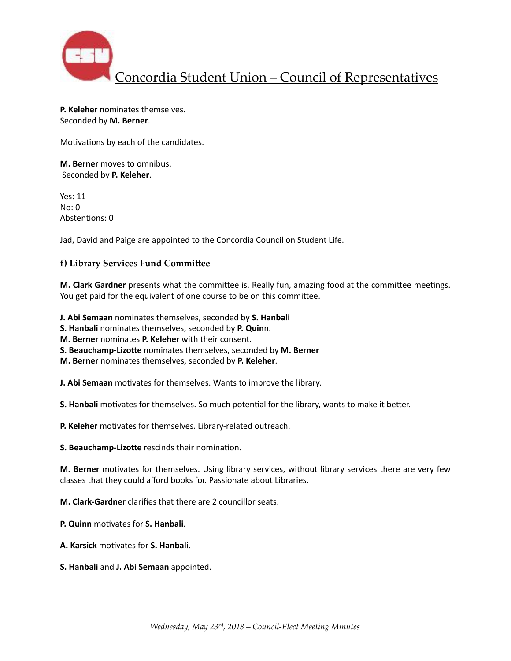

**P. Keleher** nominates themselves. Seconded by M. Berner.

Motivations by each of the candidates.

**M. Berner** moves to omnibus. Seconded by **P. Keleher**. 

Yes: 11  $No: 0$ Abstentions: 0

Jad, David and Paige are appointed to the Concordia Council on Student Life.

### **f) Library Services Fund CommiHee**

**M. Clark Gardner** presents what the committee is. Really fun, amazing food at the committee meetings. You get paid for the equivalent of one course to be on this committee.

**J. Abi Semaan** nominates themselves, seconded by S. Hanbali **S. Hanbali** nominates themselves, seconded by **P. Quin**n.

**M. Berner** nominates **P. Keleher** with their consent.

**S. Beauchamp-Lizotte** nominates themselves, seconded by M. Berner

**M. Berner** nominates themselves, seconded by **P. Keleher**.

**J. Abi Semaan** motivates for themselves. Wants to improve the library.

**S. Hanbali** motivates for themselves. So much potential for the library, wants to make it better.

**P. Keleher** motivates for themselves. Library-related outreach.

**S. Beauchamp-Lizotte** rescinds their nomination.

**M. Berner** motivates for themselves. Using library services, without library services there are very few classes that they could afford books for. Passionate about Libraries.

**M. Clark-Gardner** clarifies that there are 2 councillor seats.

**P.** Quinn motivates for S. Hanbali.

- **A. Karsick motivates for S. Hanbali.**
- **S. Hanbali** and **J. Abi Semaan** appointed.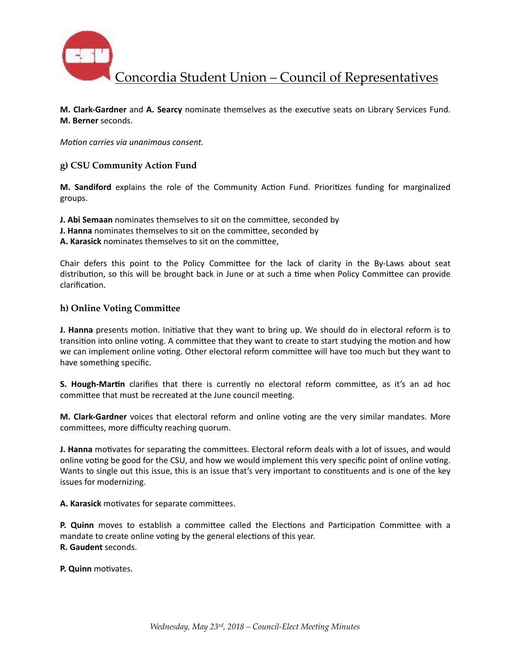

**M. Clark-Gardner** and A. Searcy nominate themselves as the executive seats on Library Services Fund. **M. Berner** seconds. 

*Motion carries via unanimous consent.* 

### **g) CSU Community Action Fund**

**M.** Sandiford explains the role of the Community Action Fund. Prioritizes funding for marginalized groups. 

**J. Abi Semaan** nominates themselves to sit on the committee, seconded by

**J. Hanna** nominates themselves to sit on the committee, seconded by

A. Karasick nominates themselves to sit on the committee,

Chair defers this point to the Policy Committee for the lack of clarity in the By-Laws about seat distribution, so this will be brought back in June or at such a time when Policy Committee can provide clarification.

### **h) Online Voting CommiHee**

**J. Hanna** presents motion. Initiative that they want to bring up. We should do in electoral reform is to transition into online voting. A committee that they want to create to start studying the motion and how we can implement online voting. Other electoral reform committee will have too much but they want to have something specific.

**S. Hough-Martin** clarifies that there is currently no electoral reform committee, as it's an ad hoc committee that must be recreated at the June council meeting.

**M. Clark-Gardner** voices that electoral reform and online voting are the very similar mandates. More committees, more difficulty reaching quorum.

**J. Hanna** motivates for separating the committees. Electoral reform deals with a lot of issues, and would online voting be good for the CSU, and how we would implement this very specific point of online voting. Wants to single out this issue, this is an issue that's very important to constituents and is one of the key issues for modernizing.

A. Karasick motivates for separate committees.

**P. Quinn** moves to establish a committee called the Elections and Participation Committee with a mandate to create online voting by the general elections of this year. **R. Gaudent** seconds. 

**P.** Quinn motivates.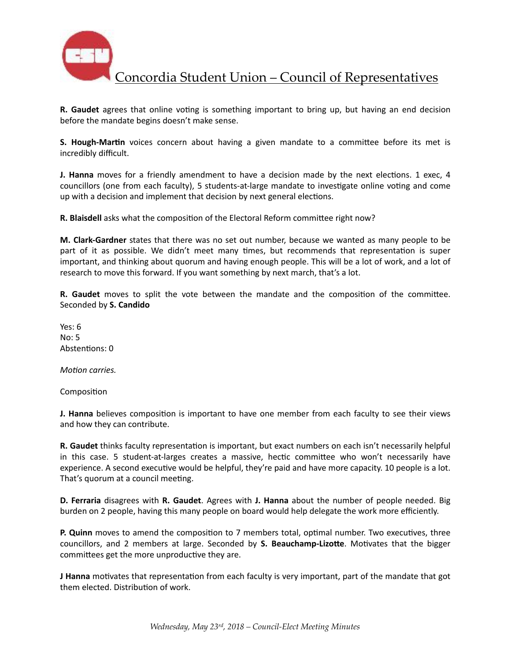

**R.** Gaudet agrees that online voting is something important to bring up, but having an end decision before the mandate begins doesn't make sense.

**S. Hough-Martin** voices concern about having a given mandate to a committee before its met is incredibly difficult. 

**J. Hanna** moves for a friendly amendment to have a decision made by the next elections. 1 exec, 4 councillors (one from each faculty), 5 students-at-large mandate to investigate online voting and come up with a decision and implement that decision by next general elections.

**R. Blaisdell** asks what the composition of the Electoral Reform committee right now?

**M. Clark-Gardner** states that there was no set out number, because we wanted as many people to be part of it as possible. We didn't meet many times, but recommends that representation is super important, and thinking about quorum and having enough people. This will be a lot of work, and a lot of research to move this forward. If you want something by next march, that's a lot.

**R.** Gaudet moves to split the vote between the mandate and the composition of the committee. Seconded by S. Candido

Yes: 6  $No: 5$ Abstentions: 0

*Motion carries.* 

Composition

**J. Hanna** believes composition is important to have one member from each faculty to see their views and how they can contribute.

**R. Gaudet** thinks faculty representation is important, but exact numbers on each isn't necessarily helpful in this case. 5 student-at-larges creates a massive, hectic committee who won't necessarily have experience. A second executive would be helpful, they're paid and have more capacity. 10 people is a lot. That's quorum at a council meeting.

**D.** Ferraria disagrees with R. Gaudet. Agrees with J. Hanna about the number of people needed. Big burden on 2 people, having this many people on board would help delegate the work more efficiently.

**P.** Quinn moves to amend the composition to 7 members total, optimal number. Two executives, three councillors, and 2 members at large. Seconded by **S. Beauchamp-Lizotte**. Motivates that the bigger committees get the more unproductive they are.

**J Hanna** motivates that representation from each faculty is very important, part of the mandate that got them elected. Distribution of work.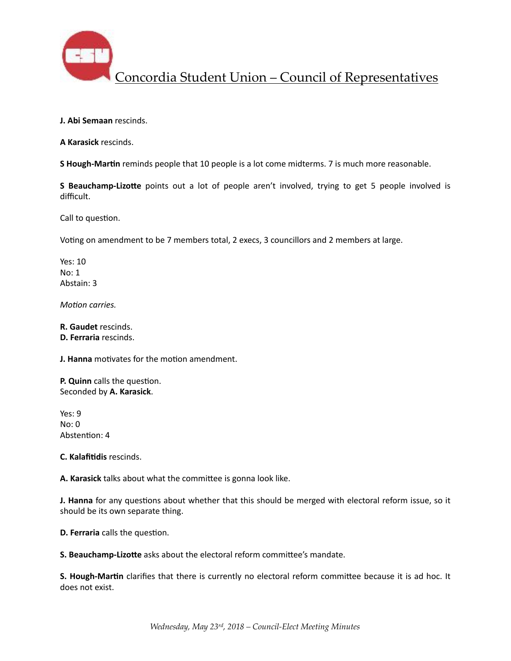

**J. Abi Semaan** rescinds.

**A Karasick** rescinds. 

**S Hough-Martin** reminds people that 10 people is a lot come midterms. 7 is much more reasonable.

**S** Beauchamp-Lizotte points out a lot of people aren't involved, trying to get 5 people involved is difficult. 

Call to question.

Voting on amendment to be 7 members total, 2 execs, 3 councillors and 2 members at large.

Yes: 10 No: 1 Abstain: 3

*Motion carries.* 

**R. Gaudet** rescinds. **D.** Ferraria rescinds.

**J. Hanna** motivates for the motion amendment.

**P.** Quinn calls the question. Seconded by **A. Karasick**. 

Yes: 9  $No: 0$ Abstention: 4

**C.** Kalafitidis rescinds.

A. Karasick talks about what the committee is gonna look like.

**J. Hanna** for any questions about whether that this should be merged with electoral reform issue, so it should be its own separate thing.

**D. Ferraria** calls the question.

**S. Beauchamp-Lizotte** asks about the electoral reform committee's mandate.

**S. Hough-Martin** clarifies that there is currently no electoral reform committee because it is ad hoc. It does not exist.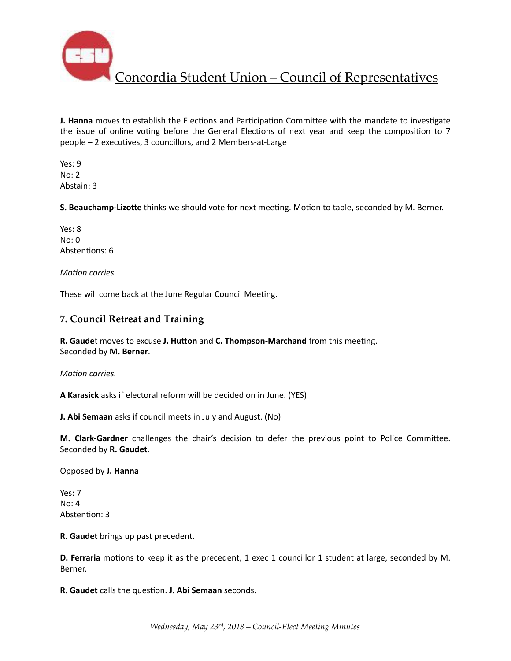

**J. Hanna** moves to establish the Elections and Participation Committee with the mandate to investigate the issue of online voting before the General Elections of next year and keep the composition to  $7$ people - 2 executives, 3 councillors, and 2 Members-at-Large

Yes: 9  $No: 2$ Abstain: 3 

**S. Beauchamp-Lizotte** thinks we should vote for next meeting. Motion to table, seconded by M. Berner.

Yes: 8  $No: 0$ Abstentions: 6

*Motion carries.* 

These will come back at the June Regular Council Meeting.

## **7. Council Retreat and Training**

**R. Gaudet** moves to excuse **J. Hutton** and **C. Thompson-Marchand** from this meeting. Seconded by **M. Berner**. 

*Motion carries.* 

**A Karasick** asks if electoral reform will be decided on in June. (YES)

**J. Abi Semaan** asks if council meets in July and August. (No)

**M. Clark-Gardner** challenges the chair's decision to defer the previous point to Police Committee. Seconded by **R. Gaudet**. 

Opposed by **J. Hanna**

Yes: 7  $No: 4$ Abstention: 3

**R.** Gaudet brings up past precedent.

**D.** Ferraria motions to keep it as the precedent, 1 exec 1 councillor 1 student at large, seconded by M. Berner. 

**R.** Gaudet calls the question. J. Abi Semaan seconds.